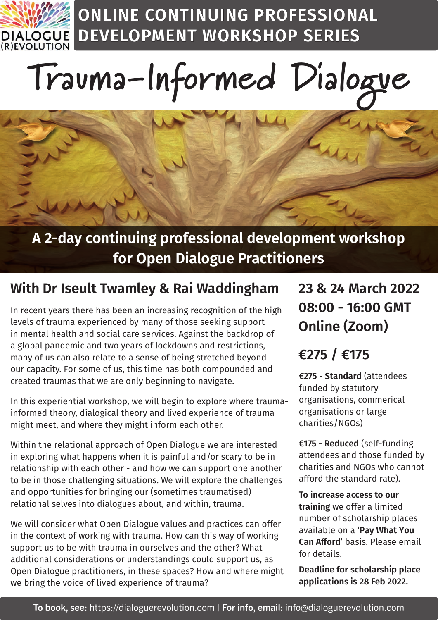

**ONLINE CONTINUING PROFESSIONAL DEVELOPMENT WORKSHOP SERIES**

# **Trauma-Informed Dialogue**

#### **A 2-day continuing professional development workshop for Open Dialogue Practitioners**

#### **With Dr Iseult Twamley & Rai Waddingham**

In recent years there has been an increasing recognition of the high levels of trauma experienced by many of those seeking support in mental health and social care services. Against the backdrop of a global pandemic and two years of lockdowns and restrictions, many of us can also relate to a sense of being stretched beyond our capacity. For some of us, this time has both compounded and created traumas that we are only beginning to navigate.

In this experiential workshop, we will begin to explore where traumainformed theory, dialogical theory and lived experience of trauma might meet, and where they might inform each other.

Within the relational approach of Open Dialogue we are interested in exploring what happens when it is painful and/or scary to be in relationship with each other - and how we can support one another to be in those challenging situations. We will explore the challenges and opportunities for bringing our (sometimes traumatised) relational selves into dialogues about, and within, trauma.

We will consider what Open Dialogue values and practices can offer in the context of working with trauma. How can this way of working support us to be with trauma in ourselves and the other? What additional considerations or understandings could support us, as Open Dialogue practitioners, in these spaces? How and where might we bring the voice of lived experience of trauma?

#### **23 & 24 March 2022 08:00 - 16:00 GMT Online (Zoom)**

#### **€275 / €175**

**€275 - Standard** (attendees funded by statutory organisations, commerical organisations or large charities/NGOs)

**€175 - Reduced** (self-funding attendees and those funded by charities and NGOs who cannot afford the standard rate).

**To increase access to our training** we offer a limited number of scholarship places available on a '**Pay What You Can Afford' basis. Please email** for details.

**Deadline for scholarship place applications is 28 Feb 2022.**